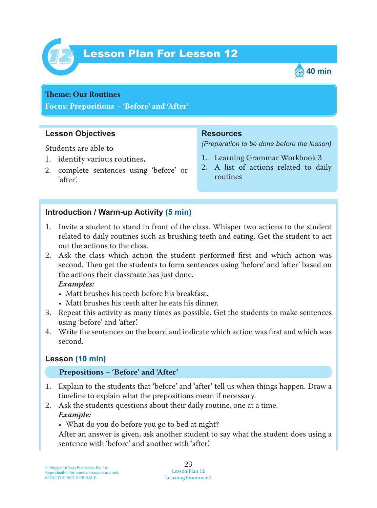

# Lesson Plan For Lesson 12 *12*



#### **Theme: Our Routines**

**Focus: Prepositions – 'Before' and 'After'**

#### **Lesson Objectives**

Students are able to

- 1. identify various routines,
- 2. complete sentences using 'before' or 'after'.

#### **Resources**

*(Preparation to be done before the lesson)*

- 1. Learning Grammar Workbook 3
- 2. A list of actions related to daily routines

#### **Introduction / Warm-up Activity (5 min)**

- 1. Invite a student to stand in front of the class. Whisper two actions to the student related to daily routines such as brushing teeth and eating. Get the student to act out the actions to the class.
- 2. Ask the class which action the student performed first and which action was second. Then get the students to form sentences using 'before' and 'after' based on the actions their classmate has just done.

 *Examples:*

- Matt brushes his teeth before his breakfast.
- Matt brushes his teeth after he eats his dinner.
- 3. Repeat this activity as many times as possible. Get the students to make sentences using 'before' and 'after'.
- 4. Write the sentences on the board and indicate which action was first and which was second.

#### **Lesson (10 min)**

#### **Prepositions – 'Before' and 'After'**

- 1. Explain to the students that 'before' and 'after' tell us when things happen. Draw a timeline to explain what the prepositions mean if necessary.
- 2. Ask the students questions about their daily routine, one at a time.  *Example:*
	- What do you do before you go to bed at night?

After an answer is given, ask another student to say what the student does using a sentence with 'before' and another with 'after'.